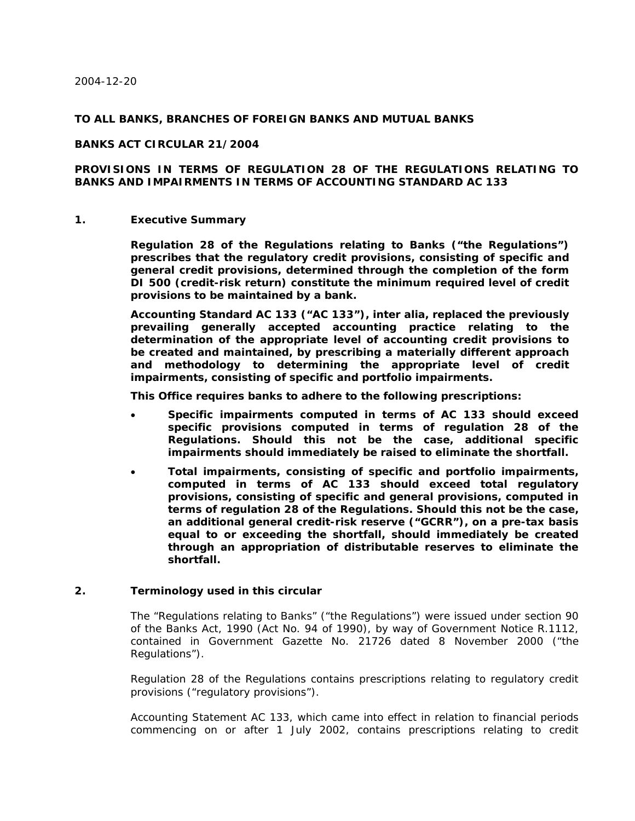### **TO ALL BANKS, BRANCHES OF FOREIGN BANKS AND MUTUAL BANKS**

### **BANKS ACT CIRCULAR 21/2004**

# **PROVISIONS IN TERMS OF REGULATION 28 OF THE REGULATIONS RELATING TO BANKS AND IMPAIRMENTS IN TERMS OF ACCOUNTING STANDARD AC 133**

#### **1. Executive Summary**

**Regulation 28 of the Regulations relating to Banks ("the Regulations") prescribes that the regulatory credit provisions, consisting of specific and general credit provisions, determined through the completion of the form DI 500 (credit-risk return) constitute the minimum required level of credit provisions to be maintained by a bank.** 

**Accounting Standard AC 133 ("AC 133"),** *inter alia,* **replaced the previously prevailing generally accepted accounting practice relating to the determination of the appropriate level of accounting credit provisions to be created and maintained, by prescribing a materially different approach and methodology to determining the appropriate level of credit impairments, consisting of specific and portfolio impairments.** 

**This Office requires banks to adhere to the following prescriptions:** 

- **Specific impairments computed in terms of AC 133 should exceed specific provisions computed in terms of regulation 28 of the Regulations. Should this not be the case, additional specific impairments should immediately be raised to eliminate the shortfall.**
- **Total impairments, consisting of specific and portfolio impairments, computed in terms of AC 133 should exceed total regulatory provisions, consisting of specific and general provisions, computed in terms of regulation 28 of the Regulations. Should this not be the case, an additional general credit-risk reserve ("GCRR"), on a pre-tax basis equal to or exceeding the shortfall, should immediately be created through an appropriation of distributable reserves to eliminate the shortfall.**

### **2. Terminology used in this circular**

The "Regulations relating to Banks" ("the Regulations") were issued under section 90 of the Banks Act, 1990 (Act No. 94 of 1990), by way of Government Notice R.1112, contained in *Government Gazette* No. 21726 dated 8 November 2000 ("the Regulations").

Regulation 28 of the Regulations contains prescriptions relating to regulatory credit provisions ("regulatory provisions").

Accounting Statement AC 133, which came into effect in relation to financial periods commencing on or after 1 July 2002, contains prescriptions relating to credit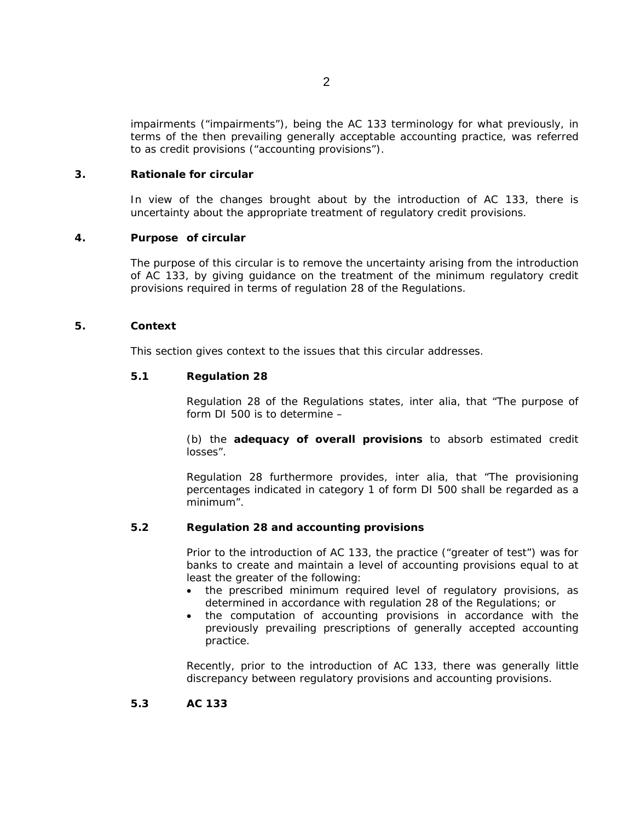impairments ("impairments"), being the AC 133 terminology for what previously, in terms of the then prevailing generally acceptable accounting practice, was referred to as credit provisions ("accounting provisions").

### **3. Rationale for circular**

In view of the changes brought about by the introduction of AC 133, there is uncertainty about the appropriate treatment of regulatory credit provisions.

# **4. Purpose of circular**

The purpose of this circular is to remove the uncertainty arising from the introduction of AC 133, by giving guidance on the treatment of the minimum regulatory credit provisions required in terms of regulation 28 of the Regulations.

# **5. Context**

This section gives context to the issues that this circular addresses.

# **5.1** Regulation 28

Regulation 28 of the Regulations states, *inter alia*, that "The purpose of form DI 500 is to determine –

(b) the **adequacy of overall provisions** to absorb estimated credit losses".

Regulation 28 furthermore provides, *inter alia*, that "The provisioning percentages indicated in category 1 of form DI 500 shall be regarded as a minimum".

# **5.2 Regulation 28 and accounting provisions**

Prior to the introduction of AC 133, the practice ("greater of test") was for banks to create and maintain a level of accounting provisions equal to at least the greater of the following:

- the prescribed minimum required level of regulatory provisions, as determined in accordance with regulation 28 of the Regulations; or
- the computation of accounting provisions in accordance with the previously prevailing prescriptions of generally accepted accounting practice.

Recently, prior to the introduction of AC 133, there was generally little discrepancy between regulatory provisions and accounting provisions.

### **5.3AC 133**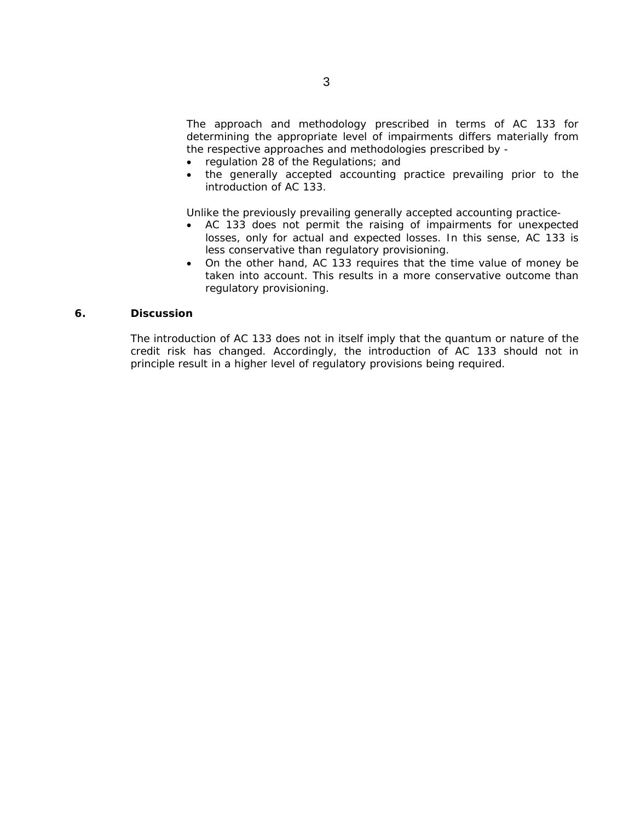The approach and methodology prescribed in terms of AC 133 for determining the appropriate level of impairments differs materially from the respective approaches and methodologies prescribed by -

- regulation 28 of the Regulations; and
- the generally accepted accounting practice prevailing prior to the introduction of AC 133.

Unlike the previously prevailing generally accepted accounting practice-

- AC 133 does not permit the raising of impairments for unexpected losses, only for actual and expected losses. In this sense, AC 133 is less conservative than regulatory provisioning.
- On the other hand, AC 133 requires that the time value of money be taken into account. This results in a more conservative outcome than regulatory provisioning.

# **6. Discussion**

The introduction of AC 133 does not in itself imply that the quantum or nature of the credit risk has changed. Accordingly, the introduction of AC 133 should not in principle result in a higher level of regulatory provisions being required.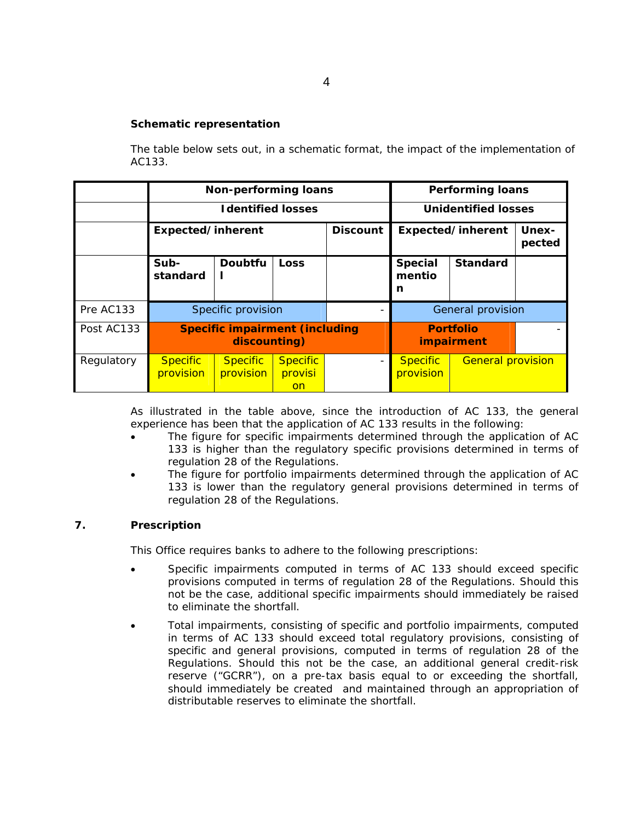# **Schematic representation**

The table below sets out, in a schematic format, the impact of the implementation of AC133.

|            | <b>Non-performing loans</b>                           |                              |                                         |                          | <b>Performing loans</b>        |                          |                        |
|------------|-------------------------------------------------------|------------------------------|-----------------------------------------|--------------------------|--------------------------------|--------------------------|------------------------|
|            | <b>Identified losses</b>                              |                              |                                         |                          | <b>Unidentified losses</b>     |                          |                        |
|            | Expected/inherent                                     |                              |                                         | <b>Discount</b>          | Expected/inherent              |                          | <b>Unex-</b><br>pected |
|            | Sub-<br>standard                                      | <b>Doubtfu</b>               | Loss                                    |                          | <b>Special</b><br>mentio<br>n  | <b>Standard</b>          |                        |
| Pre AC133  |                                                       | Specific provision           |                                         |                          | General provision              |                          |                        |
| Post AC133 | <b>Specific impairment (including</b><br>discounting) |                              |                                         |                          | <b>Portfolio</b><br>impairment |                          |                        |
| Regulatory | <b>Specific</b><br>provision                          | <b>Specific</b><br>provision | <b>Specific</b><br>provisi<br><b>on</b> | $\overline{\phantom{0}}$ | <b>Specific</b><br>provision   | <b>General provision</b> |                        |

As illustrated in the table above, since the introduction of AC 133, the general experience has been that the application of AC 133 results in the following:

- The figure for specific impairments determined through the application of AC 133 is higher than the regulatory specific provisions determined in terms of regulation 28 of the Regulations.
- The figure for portfolio impairments determined through the application of AC 133 is lower than the regulatory general provisions determined in terms of regulation 28 of the Regulations.

# **7. Prescription**

This Office requires banks to adhere to the following prescriptions:

- Specific impairments computed in terms of AC 133 should exceed specific provisions computed in terms of regulation 28 of the Regulations. Should this not be the case, additional specific impairments should immediately be raised to eliminate the shortfall.
- Total impairments, consisting of specific and portfolio impairments, computed in terms of AC 133 should exceed total regulatory provisions, consisting of specific and general provisions, computed in terms of regulation 28 of the Regulations. Should this not be the case, an additional general credit-risk reserve ("GCRR"), on a pre-tax basis equal to or exceeding the shortfall, should immediately be created and maintained through an appropriation of distributable reserves to eliminate the shortfall.